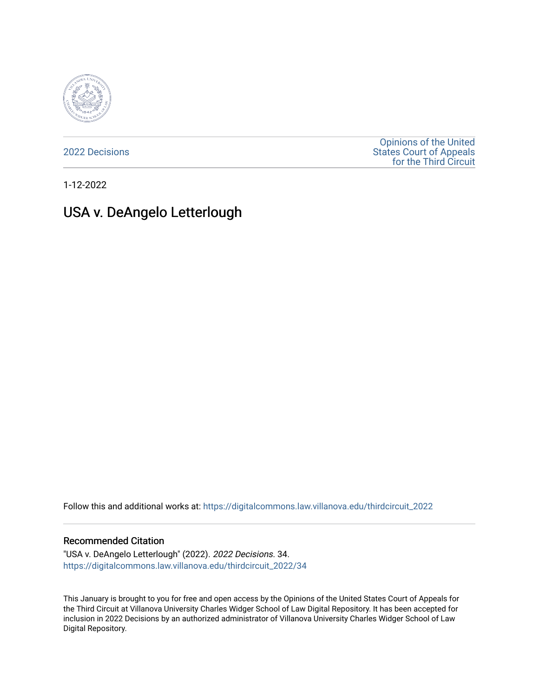

[2022 Decisions](https://digitalcommons.law.villanova.edu/thirdcircuit_2022)

[Opinions of the United](https://digitalcommons.law.villanova.edu/thirdcircuit)  [States Court of Appeals](https://digitalcommons.law.villanova.edu/thirdcircuit)  [for the Third Circuit](https://digitalcommons.law.villanova.edu/thirdcircuit) 

1-12-2022

# USA v. DeAngelo Letterlough

Follow this and additional works at: [https://digitalcommons.law.villanova.edu/thirdcircuit\\_2022](https://digitalcommons.law.villanova.edu/thirdcircuit_2022?utm_source=digitalcommons.law.villanova.edu%2Fthirdcircuit_2022%2F34&utm_medium=PDF&utm_campaign=PDFCoverPages) 

#### Recommended Citation

"USA v. DeAngelo Letterlough" (2022). 2022 Decisions. 34. [https://digitalcommons.law.villanova.edu/thirdcircuit\\_2022/34](https://digitalcommons.law.villanova.edu/thirdcircuit_2022/34?utm_source=digitalcommons.law.villanova.edu%2Fthirdcircuit_2022%2F34&utm_medium=PDF&utm_campaign=PDFCoverPages)

This January is brought to you for free and open access by the Opinions of the United States Court of Appeals for the Third Circuit at Villanova University Charles Widger School of Law Digital Repository. It has been accepted for inclusion in 2022 Decisions by an authorized administrator of Villanova University Charles Widger School of Law Digital Repository.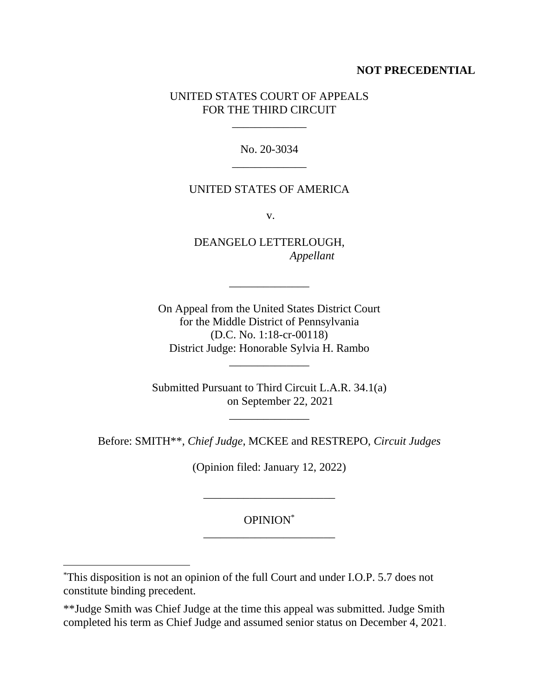# **NOT PRECEDENTIAL**

# UNITED STATES COURT OF APPEALS FOR THE THIRD CIRCUIT

\_\_\_\_\_\_\_\_\_\_\_\_\_

No. 20-3034 \_\_\_\_\_\_\_\_\_\_\_\_\_

### UNITED STATES OF AMERICA

v.

DEANGELO LETTERLOUGH, *Appellant*

\_\_\_\_\_\_\_\_\_\_\_\_\_\_

On Appeal from the United States District Court for the Middle District of Pennsylvania (D.C. No. 1:18-cr-00118) District Judge: Honorable Sylvia H. Rambo

Submitted Pursuant to Third Circuit L.A.R. 34.1(a) on September 22, 2021

\_\_\_\_\_\_\_\_\_\_\_\_\_\_

\_\_\_\_\_\_\_\_\_\_\_\_\_\_

Before: SMITH\*\*, *Chief Judge*, MCKEE and RESTREPO, *Circuit Judges*

(Opinion filed: January 12, 2022)

\_\_\_\_\_\_\_\_\_\_\_\_\_\_\_\_\_\_\_\_\_\_\_

# OPINION\* \_\_\_\_\_\_\_\_\_\_\_\_\_\_\_\_\_\_\_\_\_\_\_

<sup>\*</sup>This disposition is not an opinion of the full Court and under I.O.P. 5.7 does not constitute binding precedent.

<sup>\*\*</sup>Judge Smith was Chief Judge at the time this appeal was submitted. Judge Smith completed his term as Chief Judge and assumed senior status on December 4, 2021.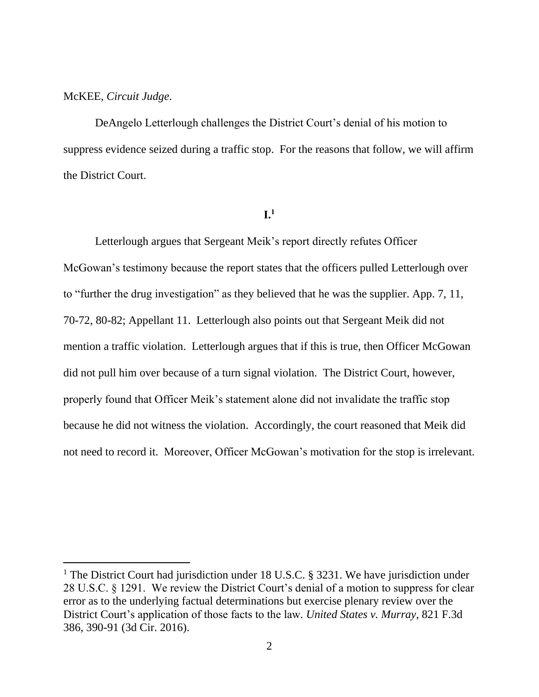#### McKEE, *Circuit Judge*.

DeAngelo Letterlough challenges the District Court's denial of his motion to suppress evidence seized during a traffic stop. For the reasons that follow, we will affirm the District Court.

#### **I.1**

Letterlough argues that Sergeant Meik's report directly refutes Officer McGowan's testimony because the report states that the officers pulled Letterlough over to "further the drug investigation" as they believed that he was the supplier. App. 7, 11, 70-72, 80-82; Appellant 11. Letterlough also points out that Sergeant Meik did not mention a traffic violation. Letterlough argues that if this is true, then Officer McGowan did not pull him over because of a turn signal violation. The District Court, however, properly found that Officer Meik's statement alone did not invalidate the traffic stop because he did not witness the violation. Accordingly, the court reasoned that Meik did not need to record it. Moreover, Officer McGowan's motivation for the stop is irrelevant.

<sup>&</sup>lt;sup>1</sup> The District Court had jurisdiction under 18 U.S.C. § 3231. We have jurisdiction under 28 U.S.C. § 1291. We review the District Court's denial of a motion to suppress for clear error as to the underlying factual determinations but exercise plenary review over the District Court's application of those facts to the law*. United States v. Murray*, 821 F.3d 386, 390-91 (3d Cir. 2016).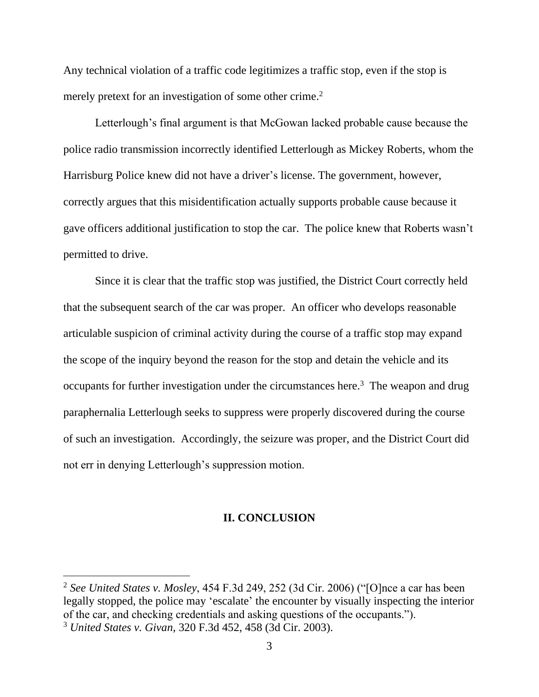Any technical violation of a traffic code legitimizes a traffic stop, even if the stop is merely pretext for an investigation of some other crime.<sup>2</sup>

Letterlough's final argument is that McGowan lacked probable cause because the police radio transmission incorrectly identified Letterlough as Mickey Roberts, whom the Harrisburg Police knew did not have a driver's license. The government, however, correctly argues that this misidentification actually supports probable cause because it gave officers additional justification to stop the car. The police knew that Roberts wasn't permitted to drive.

Since it is clear that the traffic stop was justified, the District Court correctly held that the subsequent search of the car was proper. An officer who develops reasonable articulable suspicion of criminal activity during the course of a traffic stop may expand the scope of the inquiry beyond the reason for the stop and detain the vehicle and its occupants for further investigation under the circumstances here. <sup>3</sup> The weapon and drug paraphernalia Letterlough seeks to suppress were properly discovered during the course of such an investigation. Accordingly, the seizure was proper, and the District Court did not err in denying Letterlough's suppression motion.

#### **II. CONCLUSION**

<sup>2</sup> *See United States v. Mosley*, 454 F.3d 249, 252 (3d Cir. 2006) ("[O]nce a car has been legally stopped, the police may 'escalate' the encounter by visually inspecting the interior of the car, and checking credentials and asking questions of the occupants."). <sup>3</sup> *United States v. Givan*, 320 F.3d 452, 458 (3d Cir. 2003).